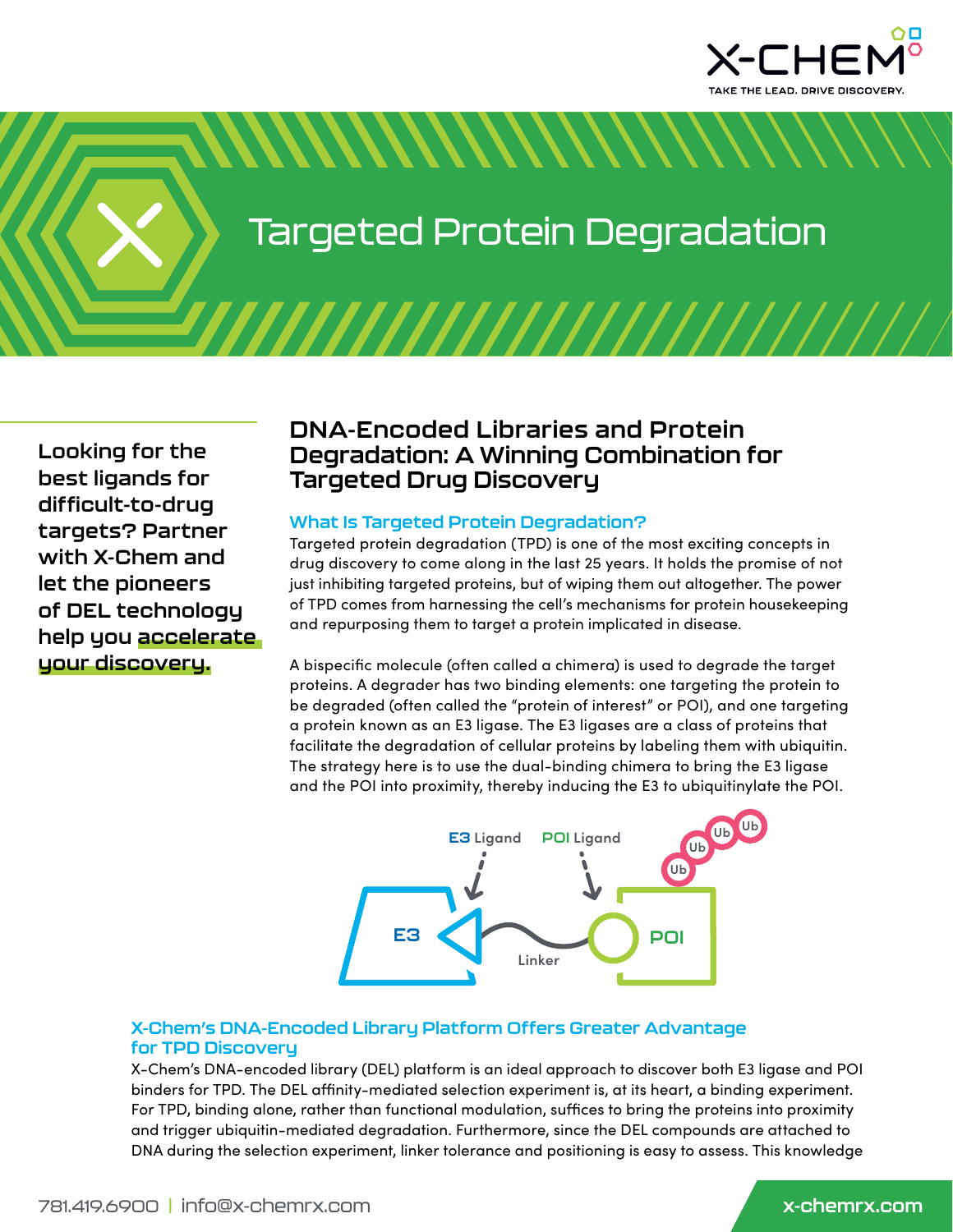

Targeted Protein Degradation

*MANAMANAMAN* 

# **Looking for the best ligands for difficult-to-drug targets? Partner with X-Chem and let the pioneers of DEL technology help you accelerate your discovery.**

## **DNA-Encoded Libraries and Protein Degradation: A Winning Combination for Targeted Drug Discovery**

### **What Is Targeted Protein Degradation?**

Targeted protein degradation (TPD) is one of the most exciting concepts in drug discovery to come along in the last 25 years. It holds the promise of not just inhibiting targeted proteins, but of wiping them out altogether. The power of TPD comes from harnessing the cell's mechanisms for protein housekeeping and repurposing them to target a protein implicated in disease.

A bispecific molecule (often called a chimera) is used to degrade the target proteins. A degrader has two binding elements: one targeting the protein to be degraded (often called the "protein of interest" or POI), and one targeting a protein known as an E3 ligase. The E3 ligases are a class of proteins that facilitate the degradation of cellular proteins by labeling them with ubiquitin. The strategy here is to use the dual-binding chimera to bring the E3 ligase and the POI into proximity, thereby inducing the E3 to ubiquitinylate the POI.



## **X-Chem's DNA-Encoded Library Platform Offers Greater Advantage for TPD Discovery**

X-Chem's DNA-encoded library (DEL) platform is an ideal approach to discover both E3 ligase and POI binders for TPD. The DEL affinity-mediated selection experiment is, at its heart, a binding experiment. For TPD, binding alone, rather than functional modulation, suffices to bring the proteins into proximity and trigger ubiquitin-mediated degradation. Furthermore, since the DEL compounds are attached to DNA during the selection experiment, linker tolerance and positioning is easy to assess. This knowledge